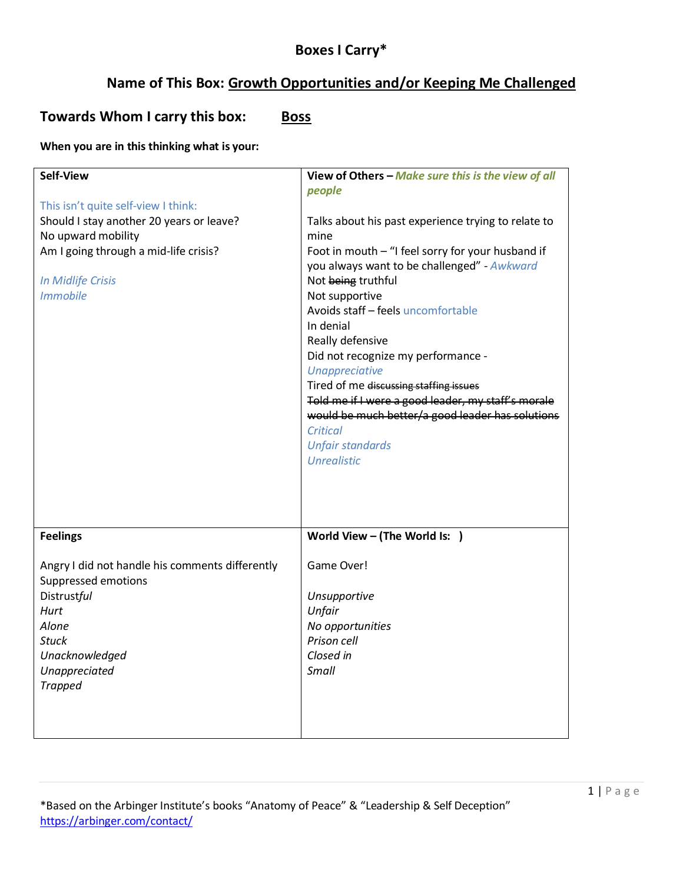# **Boxes I Carry\***

# **Name of This Box: Growth Opportunities and/or Keeping Me Challenged**

**Towards Whom I carry this box: Boss** 

### **When you are in this thinking what is your:**

| <b>Self-View</b><br>This isn't quite self-view I think:<br>Should I stay another 20 years or leave?<br>No upward mobility<br>Am I going through a mid-life crisis?<br><b>In Midlife Crisis</b><br><b>Immobile</b> | View of Others - Make sure this is the view of all<br>people<br>Talks about his past experience trying to relate to<br>mine<br>Foot in mouth - "I feel sorry for your husband if<br>you always want to be challenged" - Awkward<br>Not being truthful<br>Not supportive<br>Avoids staff - feels uncomfortable<br>In denial<br>Really defensive<br>Did not recognize my performance -<br><b>Unappreciative</b><br>Tired of me discussing staffing issues<br>Told me if I were a good leader, my staff's morale<br>would be much better/a good leader has solutions<br>Critical<br><b>Unfair standards</b><br><b>Unrealistic</b> |
|-------------------------------------------------------------------------------------------------------------------------------------------------------------------------------------------------------------------|--------------------------------------------------------------------------------------------------------------------------------------------------------------------------------------------------------------------------------------------------------------------------------------------------------------------------------------------------------------------------------------------------------------------------------------------------------------------------------------------------------------------------------------------------------------------------------------------------------------------------------|
| <b>Feelings</b><br>Angry I did not handle his comments differently<br>Suppressed emotions<br><b>Distrustful</b><br>Hurt<br>Alone<br>Stuck<br>Unacknowledged<br>Unappreciated<br><b>Trapped</b>                    | World View - (The World Is: )<br>Game Over!<br>Unsupportive<br>Unfair<br>No opportunities<br>Prison cell<br>Closed in<br>Small                                                                                                                                                                                                                                                                                                                                                                                                                                                                                                 |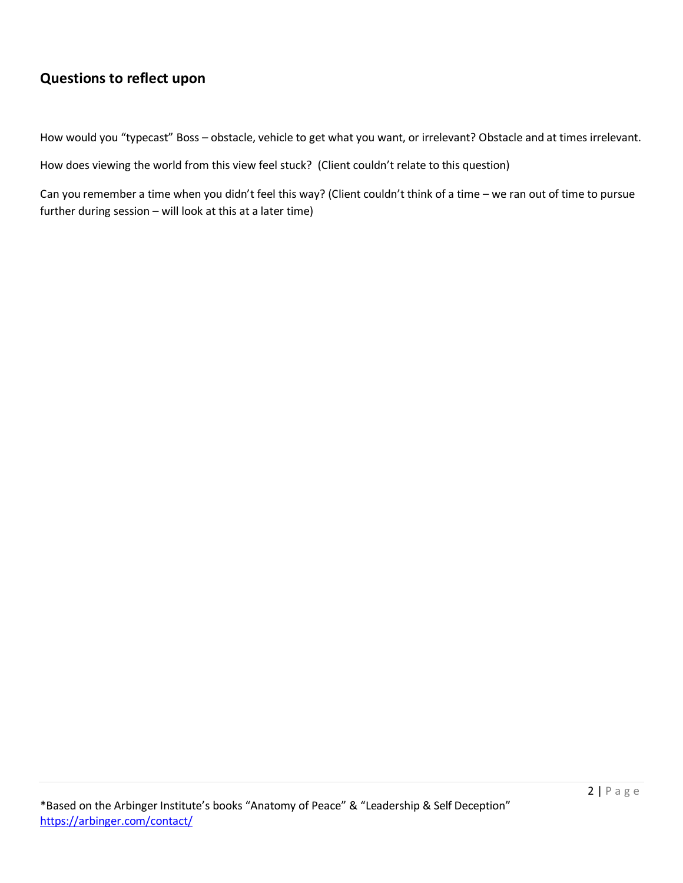# **Questions to reflect upon**

How would you "typecast" Boss – obstacle, vehicle to get what you want, or irrelevant? Obstacle and at times irrelevant.

How does viewing the world from this view feel stuck? (Client couldn't relate to this question)

Can you remember a time when you didn't feel this way? (Client couldn't think of a time – we ran out of time to pursue further during session – will look at this at a later time)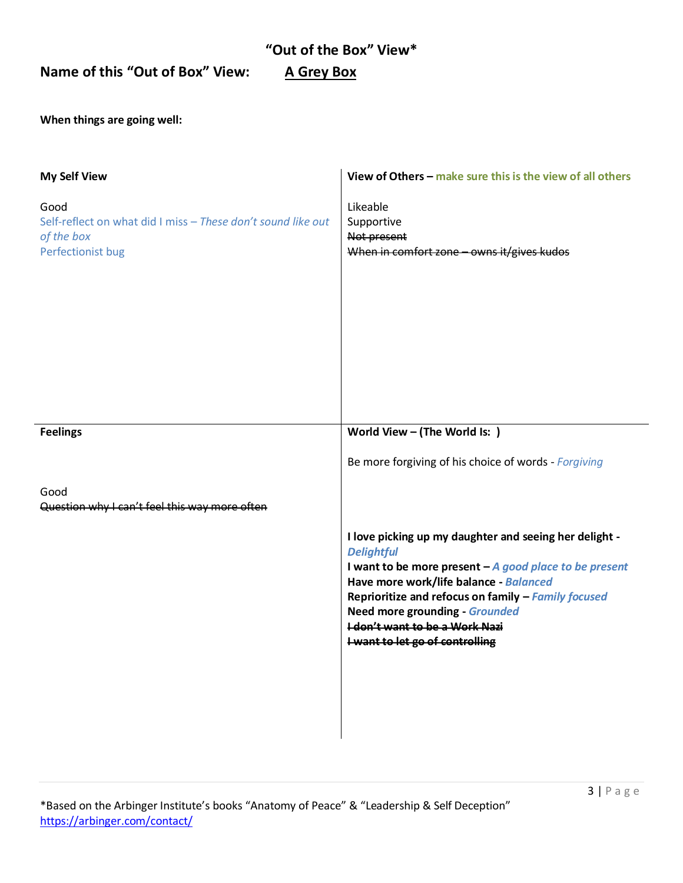### **"Out of the Box" View\***

**Name of this "Out of Box" View: A Grey Box**

**When things are going well:**

| <b>My Self View</b>                                                                                     | View of Others - make sure this is the view of all others                                                                                                                                                                                                                                                                                                    |
|---------------------------------------------------------------------------------------------------------|--------------------------------------------------------------------------------------------------------------------------------------------------------------------------------------------------------------------------------------------------------------------------------------------------------------------------------------------------------------|
| Good<br>Self-reflect on what did I miss - These don't sound like out<br>of the box<br>Perfectionist bug | Likeable<br>Supportive<br>Not present<br>When in comfort zone - owns it/gives kudos                                                                                                                                                                                                                                                                          |
| <b>Feelings</b>                                                                                         | World View - (The World Is: )                                                                                                                                                                                                                                                                                                                                |
|                                                                                                         | Be more forgiving of his choice of words - Forgiving                                                                                                                                                                                                                                                                                                         |
| Good<br>Question why I can't feel this way more often                                                   |                                                                                                                                                                                                                                                                                                                                                              |
|                                                                                                         | I love picking up my daughter and seeing her delight -<br><b>Delightful</b><br>I want to be more present $-A$ good place to be present<br>Have more work/life balance - Balanced<br>Reprioritize and refocus on family - Family focused<br><b>Need more grounding - Grounded</b><br><b>I don't want to be a Work Nazi</b><br>I want to let go of controlling |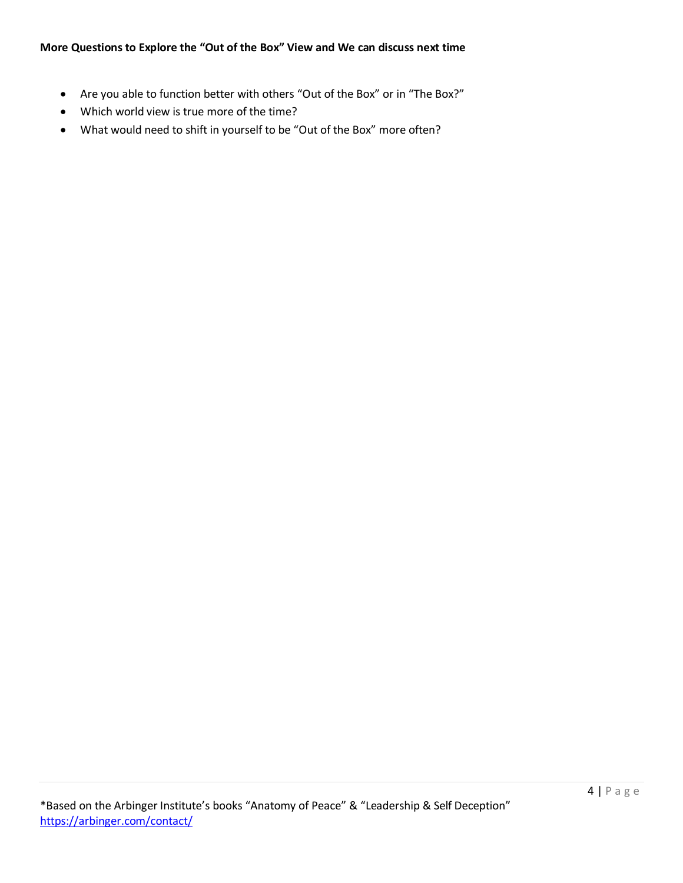- Are you able to function better with others "Out of the Box" or in "The Box?"
- Which world view is true more of the time?
- What would need to shift in yourself to be "Out of the Box" more often?